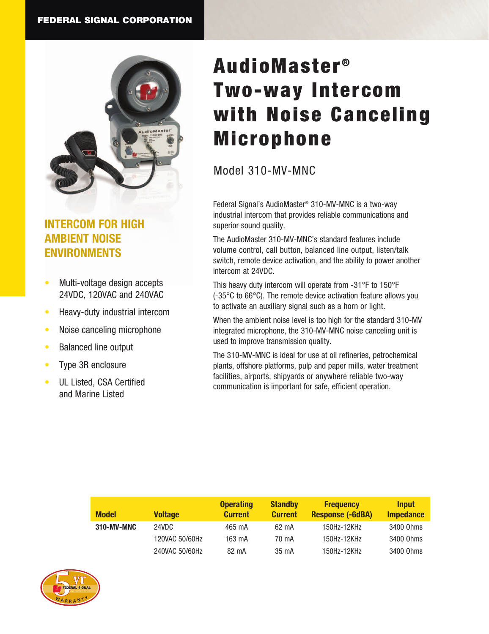

# **INTERCOM FOR HIGH AMBIENT NOISE ENVIRONMENTS**

- Multi-voltage design accepts 24VDC, 120VAC and 240VAC
- Heavy-duty industrial intercom
- Noise canceling microphone
- Balanced line output
- Type 3R enclosure
- UL Listed, CSA Certified and Marine Listed

# AudioMaster<sup>®</sup> Two-way Intercom with Noise Canceling Microphone

## Model 310-MV-MNC

Federal Signal's AudioMaster® 310-MV-MNC is a two-way industrial intercom that provides reliable communications and superior sound quality.

The AudioMaster 310-MV-MNC's standard features include volume control, call button, balanced line output, listen/talk switch, remote device activation, and the ability to power another intercom at 24VDC.

This heavy duty intercom will operate from -31°F to 150°F (-35°C to 66°C). The remote device activation feature allows you to activate an auxiliary signal such as a horn or light.

When the ambient noise level is too high for the standard 310-MV integrated microphone, the 310-MV-MNC noise canceling unit is used to improve transmission quality.

The 310-MV-MNC is ideal for use at oil refineries, petrochemical plants, offshore platforms, pulp and paper mills, water treatment facilities, airports, shipyards or anywhere reliable two-way communication is important for safe, efficient operation.

| <b>Model</b> | <b>Voltage</b> | <b>Operating</b><br><b>Current</b> | <b>Standby</b><br><b>Current</b> | <b>Frequency</b><br><b>Response (-6dBA)</b> | <b>Input</b><br><b>Impedance</b> |
|--------------|----------------|------------------------------------|----------------------------------|---------------------------------------------|----------------------------------|
| 310-MV-MNC   | 24VDC          | 465 mA                             | 62 mA                            | 150Hz-12KHz                                 | 3400 Ohms                        |
|              | 120VAC 50/60Hz | 163 mA                             | 70 mA                            | 150Hz-12KHz                                 | 3400 Ohms                        |
|              | 240VAC 50/60Hz | 82 mA                              | 35 mA                            | 150Hz-12KHz                                 | 3400 Ohms                        |